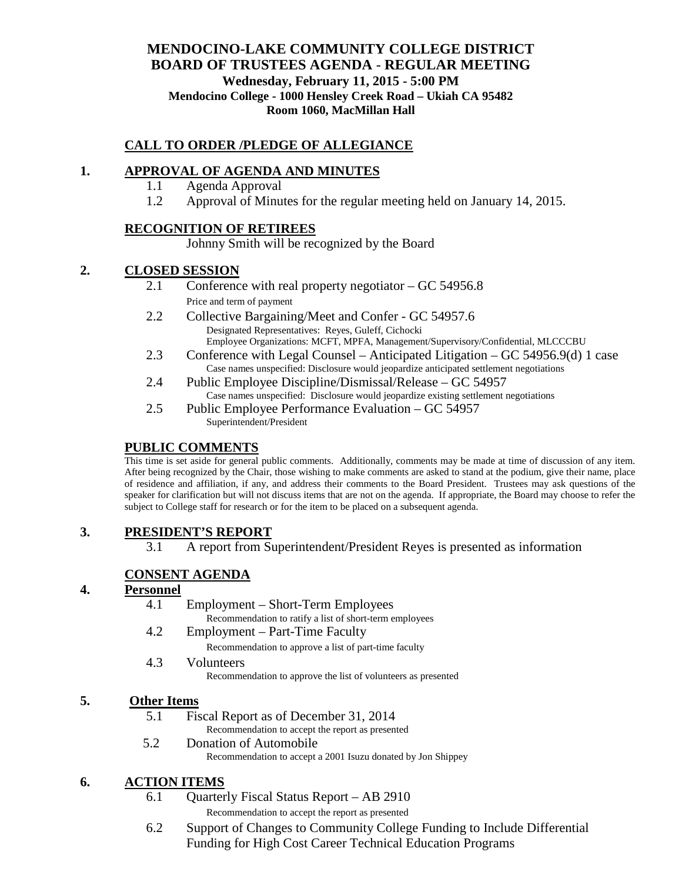# **MENDOCINO-LAKE COMMUNITY COLLEGE DISTRICT BOARD OF TRUSTEES AGENDA** - **REGULAR MEETING Wednesday, February 11, 2015 - 5:00 PM Mendocino College - 1000 Hensley Creek Road – Ukiah CA 95482 Room 1060, MacMillan Hall**

## **CALL TO ORDER /PLEDGE OF ALLEGIANCE**

## **1. APPROVAL OF AGENDA AND MINUTES**

- 1.1 Agenda Approval
- 1.2 Approval of Minutes for the regular meeting held on January 14, 2015.

## **RECOGNITION OF RETIREES**

Johnny Smith will be recognized by the Board

## **2. CLOSED SESSION**

- 2.1 Conference with real property negotiator GC 54956.8 Price and term of payment
- 2.2 Collective Bargaining/Meet and Confer GC 54957.6 Designated Representatives: Reyes, Guleff, Cichocki Employee Organizations: MCFT, MPFA, Management/Supervisory/Confidential, MLCCCBU
- 2.3 Conference with Legal Counsel Anticipated Litigation GC 54956.9(d) 1 case Case names unspecified: Disclosure would jeopardize anticipated settlement negotiations
- 2.4 Public Employee Discipline/Dismissal/Release GC 54957 Case names unspecified: Disclosure would jeopardize existing settlement negotiations
- 2.5 Public Employee Performance Evaluation GC 54957 Superintendent/President

## **PUBLIC COMMENTS**

This time is set aside for general public comments. Additionally, comments may be made at time of discussion of any item. After being recognized by the Chair, those wishing to make comments are asked to stand at the podium, give their name, place of residence and affiliation, if any, and address their comments to the Board President. Trustees may ask questions of the speaker for clarification but will not discuss items that are not on the agenda. If appropriate, the Board may choose to refer the subject to College staff for research or for the item to be placed on a subsequent agenda.

## **3. PRESIDENT'S REPORT**

3.1 A report from Superintendent/President Reyes is presented as information

## **CONSENT AGENDA**

#### **4. Personnel**

- 4.1 Employment Short-Term Employees
	- Recommendation to ratify a list of short-term employees
- 4.2 Employment Part-Time Faculty

Recommendation to approve a list of part-time faculty

4.3 Volunteers

Recommendation to approve the list of volunteers as presented

## **5. Other Items**

5.1 Fiscal Report as of December 31, 2014

Recommendation to accept the report as presented

5.2 Donation of Automobile

## Recommendation to accept a 2001 Isuzu donated by Jon Shippey

## **6. ACTION ITEMS**

- 6.1 Quarterly Fiscal Status Report AB 2910 Recommendation to accept the report as presented
- 6.2 Support of Changes to Community College Funding to Include Differential Funding for High Cost Career Technical Education Programs